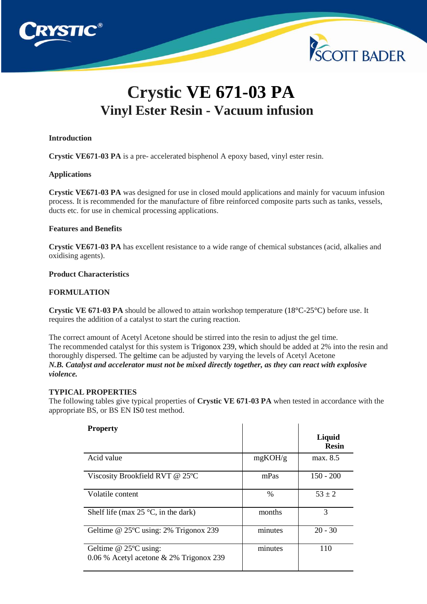

# **Crystic VE 671-03 PA Vinyl Ester Resin - Vacuum infusion**

#### **Introduction**

**Crystic VE671-03 PA** is a pre- accelerated bisphenol A epoxy based, vinyl ester resin.

#### **Applications**

**Crystic VE671-03 PA** was designed for use in closed mould applications and mainly for vacuum infusion process. It is recommended for the manufacture of fibre reinforced composite parts such as tanks, vessels, ducts etc. for use in chemical processing applications.

## **Features and Benefits**

**Crystic VE671-03 PA** has excellent resistance to a wide range of chemical substances (acid, alkalies and oxidising agents).

## **Product Characteristics**

# **FORMULATION**

**Crystic VE 671-03 PA** should be allowed to attain workshop temperature (18°C-25°C) before use. It requires the addition of a catalyst to start the curing reaction.

The correct amount of Acetyl Acetone should be stirred into the resin to adjust the gel time. The recommended catalyst for this system is Trigonox 239, which should be added at 2% into the resin and thoroughly dispersed. The geltime can be adjusted by varying the levels of Acetyl Acetone *N.B. Catalyst and accelerator must not be mixed directly together, as they can react with explosive violence.*

#### **TYPICAL PROPERTIES**

The following tables give typical properties of **Crystic VE 671-03 PA** when tested in accordance with the appropriate BS, or BS EN IS0 test method.

| <b>Property</b>                                                       |               | Liquid<br><b>Resin</b> |
|-----------------------------------------------------------------------|---------------|------------------------|
| Acid value                                                            | mgKOH/g       | max. 8.5               |
| Viscosity Brookfield RVT @ 25°C                                       | mPas          | $150 - 200$            |
| Volatile content                                                      | $\frac{0}{0}$ | $53 \pm 2$             |
| Shelf life (max $25^{\circ}$ C, in the dark)                          | months        | 3                      |
| Geltime @ 25°C using: 2% Trigonox 239                                 | minutes       | $20 - 30$              |
| Geltime $@$ 25 $°C$ using:<br>0.06 % Acetyl acetone & 2% Trigonox 239 | minutes       | 110                    |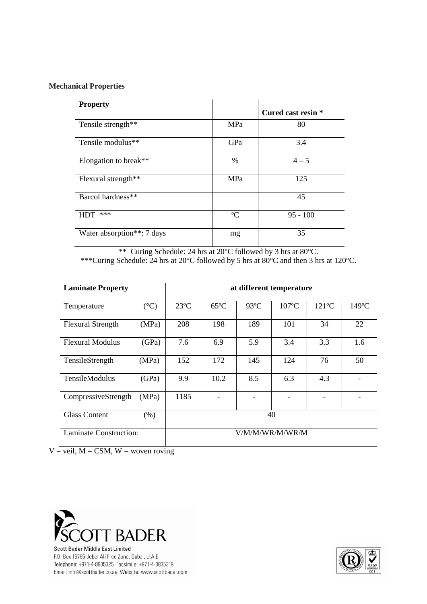# **Mechanical Properties**

| <b>Property</b>                         |             |                    |
|-----------------------------------------|-------------|--------------------|
|                                         |             | Cured cast resin * |
| Tensile strength**                      | MPa         | 80                 |
| Tensile modulus <sup>**</sup>           | GPa         | 3.4                |
| Elongation to break**                   | %           | $4 - 5$            |
| Flexural strength**                     | MPa         | 125                |
| Barcol hardness**                       |             | 45                 |
| ***<br>HDT                              | $\rm ^{o}C$ | $95 - 100$         |
| Water absorption <sup>**</sup> : 7 days | mg          | 35                 |

\*\* Curing Schedule: 24 hrs at 20°C followed by 3 hrs at 80°C. \*\*\*Curing Schedule: 24 hrs at 20°C followed by 5 hrs at 80°C and then 3 hrs at 120°C.

| <b>Laminate Property</b> |                 | at different temperature |                |                |                 |                 |                 |
|--------------------------|-----------------|--------------------------|----------------|----------------|-----------------|-----------------|-----------------|
| Temperature              | $({}^{\circ}C)$ | $23^{\circ}$ C           | $65^{\circ}$ C | $93^{\circ}$ C | $107^{\circ}$ C | $121^{\circ}$ C | $149^{\circ}$ C |
| <b>Flexural Strength</b> | (MPa)           | 208                      | 198            | 189            | 101             | 34              | 22              |
| <b>Flexural Modulus</b>  | (GPa)           | 7.6                      | 6.9            | 5.9            | 3.4             | 3.3             | 1.6             |
| TensileStrength          | (MPa)           | 152                      | 172            | 145            | 124             | 76              | 50              |
| <b>TensileModulus</b>    | (GPa)           | 9.9                      | 10.2           | 8.5            | 6.3             | 4.3             |                 |
| CompressiveStrength      | (MPa)           | 1185                     |                |                |                 |                 |                 |
| <b>Glass Content</b>     | $(\% )$         | 40                       |                |                |                 |                 |                 |
| Laminate Construction:   |                 | V/M/M/WR/M/WR/M          |                |                |                 |                 |                 |

 $V =$ veil,  $M =$ CSM,  $W =$ woven roving



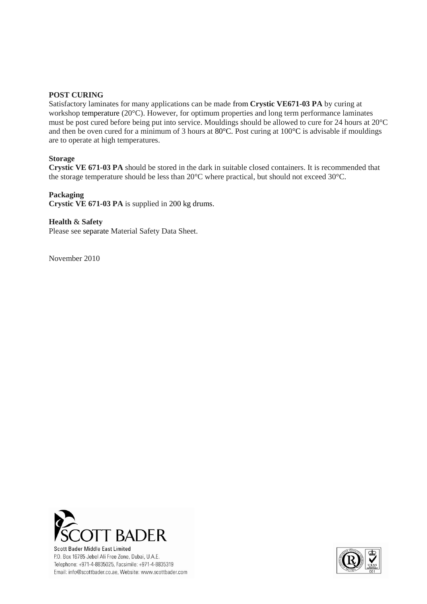#### **POST CURING**

Satisfactory laminates for many applications can be made from **Crystic VE671-03 PA** by curing at workshop temperature (20°C). However, for optimum properties and long term performance laminates must be post cured before being put into service. Mouldings should be allowed to cure for 24 hours at 20°C and then be oven cured for a minimum of 3 hours at 80°C. Post curing at 100°C is advisable if mouldings are to operate at high temperatures.

#### **Storage**

**Crystic VE 671-03 PA** should be stored in the dark in suitable closed containers. It is recommended that the storage temperature should be less than 20°C where practical, but should not exceed 30°C.

#### **Packaging**

**Crystic VE 671-03 PA** is supplied in 200 kg drums.

# **Health** & **Safety**

Please see separate Material Safety Data Sheet.

November 2010



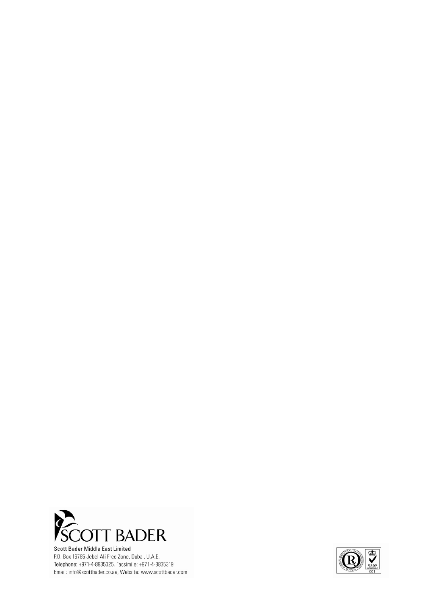

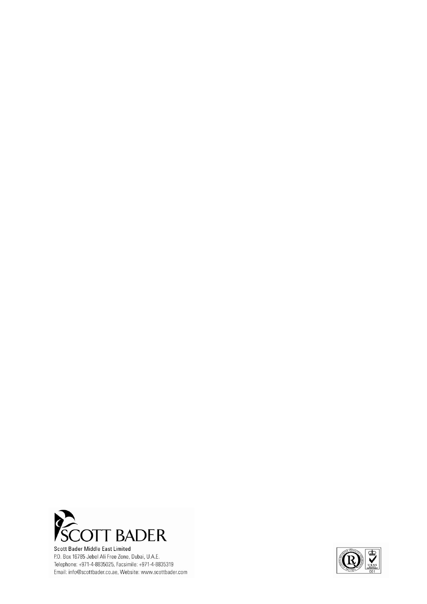

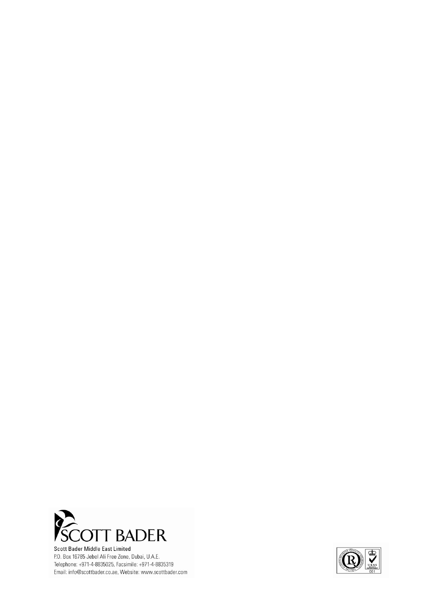

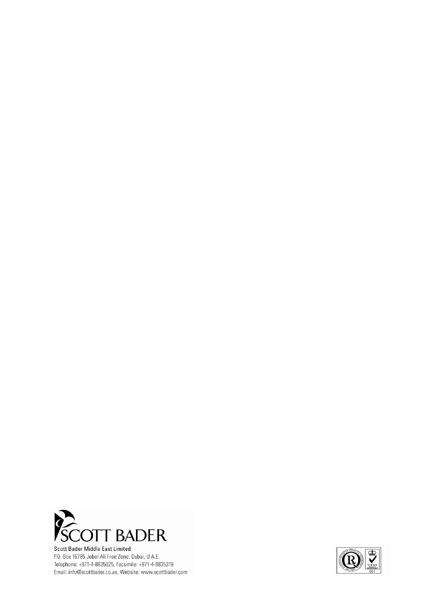